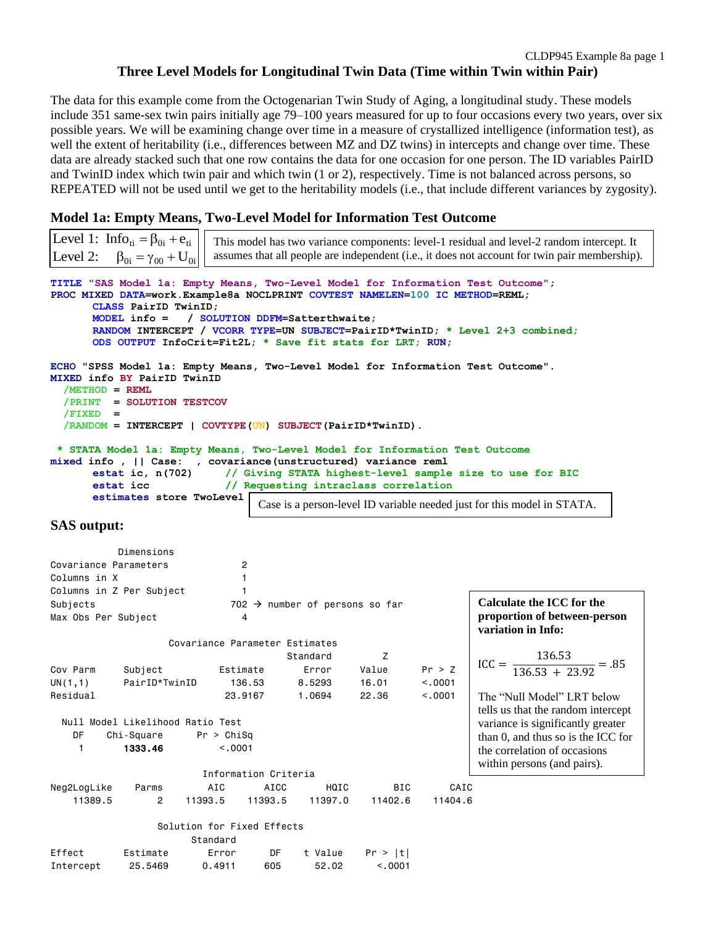# CLDP945 Example 8a page 1 **Three Level Models for Longitudinal Twin Data (Time within Twin within Pair)**

The data for this example come from the Octogenarian Twin Study of Aging, a longitudinal study. These models include 351 same-sex twin pairs initially age 79–100 years measured for up to four occasions every two years, over six possible years. We will be examining change over time in a measure of crystallized intelligence (information test), as well the extent of heritability (i.e., differences between MZ and DZ twins) in intercepts and change over time. These data are already stacked such that one row contains the data for one occasion for one person. The ID variables PairID and TwinID index which twin pair and which twin (1 or 2), respectively. Time is not balanced across persons, so REPEATED will not be used until we get to the heritability models (i.e., that include different variances by zygosity).

# **Model 1a: Empty Means, Two-Level Model for Information Test Outcome**

|                                            | Level 1: $Info_{ti} = \beta_{0i} + e_{ti}$<br>Level 2: $\beta_{0i} = \gamma_{00} + U_{0i}$                                                                                                                                                                                                                                                                                                                                                                                      | This model has two variance components: level-1 residual and level-2 random intercept. It<br>assumes that all people are independent (i.e., it does not account for twin pair membership). |               |                                            |                                      |                              |                                                                                                                                                                                                                                                           |  |  |  |
|--------------------------------------------|---------------------------------------------------------------------------------------------------------------------------------------------------------------------------------------------------------------------------------------------------------------------------------------------------------------------------------------------------------------------------------------------------------------------------------------------------------------------------------|--------------------------------------------------------------------------------------------------------------------------------------------------------------------------------------------|---------------|--------------------------------------------|--------------------------------------|------------------------------|-----------------------------------------------------------------------------------------------------------------------------------------------------------------------------------------------------------------------------------------------------------|--|--|--|
|                                            | TITLE "SAS Model 1a: Empty Means, Two-Level Model for Information Test Outcome";<br>PROC MIXED DATA=work. Example8a NOCLPRINT COVTEST NAMELEN=100 IC METHOD=REML;<br>CLASS PairID TwinID:<br>$MODEL$ info =<br>/ SOLUTION DDFM=Satterthwaite;<br>RANDOM INTERCEPT / VCORR TYPE=UN SUBJECT=PairID*TwinID; * Level 2+3 combined;<br>ODS OUTPUT InfoCrit=Fit2L; * Save fit stats for LRT; RUN;<br>ECHO "SPSS Model 1a: Empty Means, Two-Level Model for Information Test Outcome". |                                                                                                                                                                                            |               |                                            |                                      |                              |                                                                                                                                                                                                                                                           |  |  |  |
| $/$ METHOD = REML<br>/ PRINT<br>$/FIXED =$ | MIXED info BY PairID TwinID<br>= SOLUTION TESTCOV<br>/RANDOM = INTERCEPT   COVTYPE (UN) SUBJECT (PairID*TwinID).                                                                                                                                                                                                                                                                                                                                                                |                                                                                                                                                                                            |               |                                            |                                      |                              |                                                                                                                                                                                                                                                           |  |  |  |
| <b>SAS</b> output:                         | * STATA Model 1a: Empty Means, Two-Level Model for Information Test Outcome<br>mixed info,     Case: , covariance (unstructured) variance reml<br>estat ic, $n(702)$<br>estat icc<br>estimates store TwoLevel                                                                                                                                                                                                                                                                   |                                                                                                                                                                                            |               |                                            | // Requesting intraclass correlation |                              | // Giving STATA highest-level sample size to use for BIC<br>Case is a person-level ID variable needed just for this model in STATA.                                                                                                                       |  |  |  |
| Covariance Parameters<br>Columns in X      | Dimensions                                                                                                                                                                                                                                                                                                                                                                                                                                                                      | 2<br>$\mathbf{1}$                                                                                                                                                                          |               |                                            |                                      |                              |                                                                                                                                                                                                                                                           |  |  |  |
| Subjects<br>Max Obs Per Subject            | Columns in Z Per Subject                                                                                                                                                                                                                                                                                                                                                                                                                                                        | 1<br>4                                                                                                                                                                                     |               | 702 $\rightarrow$ number of persons so far |                                      |                              | <b>Calculate the ICC for the</b><br>proportion of between-person<br>variation in Info:                                                                                                                                                                    |  |  |  |
| Cov Parm<br>UN(1,1)<br>Residual<br>DF<br>1 | Subject<br>PairID*TwinID<br>Null Model Likelihood Ratio Test<br>Chi-Square<br>1333.46                                                                                                                                                                                                                                                                                                                                                                                           | Covariance Parameter Estimates<br>Estimate<br>136.53<br>23,9167<br>Pr > Chisq<br>< 0.001<br>Information Criteria                                                                           |               | Standard<br>Error<br>8.5293<br>1.0694      | Z<br>Value<br>16.01<br>22.36         | Pr > Z<br>< 0.001<br>< 0.001 | $ICC = \frac{136.53}{136.53 + 23.92} = .85$<br>The "Null Model" LRT below<br>tells us that the random intercept<br>variance is significantly greater<br>than 0, and thus so is the ICC for<br>the correlation of occasions<br>within persons (and pairs). |  |  |  |
| Neg2LogLike                                | Parms                                                                                                                                                                                                                                                                                                                                                                                                                                                                           | AIC                                                                                                                                                                                        | AICC          | HQIC                                       | <b>BIC</b>                           | CAIC                         |                                                                                                                                                                                                                                                           |  |  |  |
| 11389.5<br>Effect                          | 2<br>Estimate                                                                                                                                                                                                                                                                                                                                                                                                                                                                   | 11393.5<br>Solution for Fixed Effects<br>Standard<br>Error                                                                                                                                 | 11393.5<br>DF | 11397.0<br>t Value                         | 11402.6<br>Pr >  t                   | 11404.6                      |                                                                                                                                                                                                                                                           |  |  |  |
| Intercept                                  | 25.5469                                                                                                                                                                                                                                                                                                                                                                                                                                                                         | 0.4911                                                                                                                                                                                     | 605           | 52.02                                      | < .0001                              |                              |                                                                                                                                                                                                                                                           |  |  |  |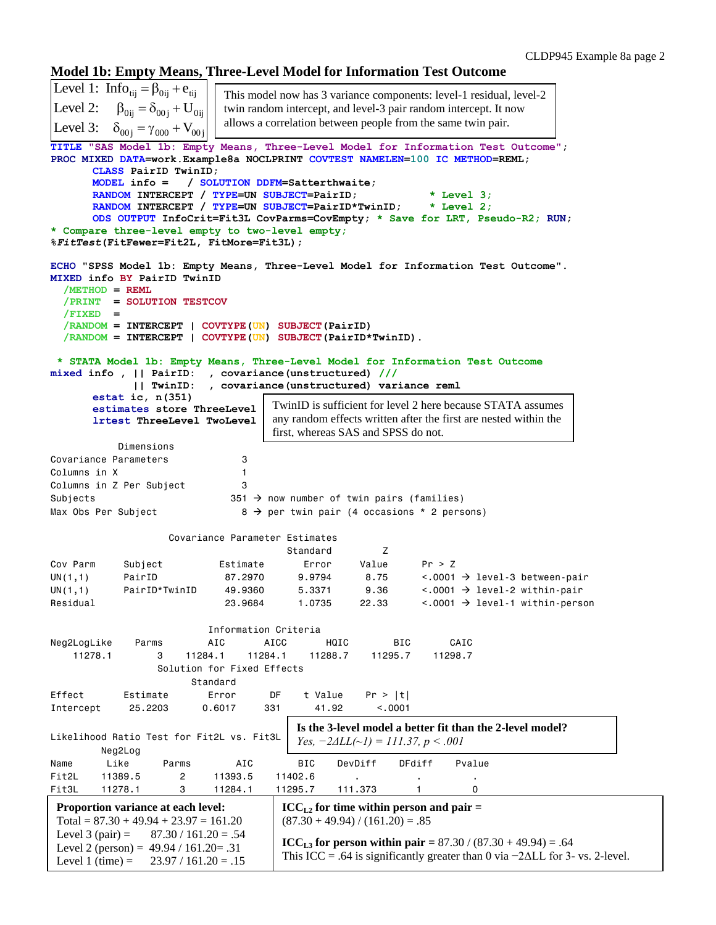## **Model 1b: Empty Means, Three-Level Model for Information Test Outcome**

```
Level 1: \text{Info}_{\text{tij}} = \beta_{0ij} + e_{\text{tij}}Level 2: \beta_{0ij} = \delta_{00j} + U_{0ij}Level 3: \delta_{00j} = \gamma_{000} + V_{00j}TITLE "SAS Model 1b: Empty Means, Three-Level Model for Information Test Outcome";
PROC MIXED DATA=work.Example8a NOCLPRINT COVTEST NAMELEN=100 IC METHOD=REML;
      CLASS PairID TwinID;
      MODEL info = / SOLUTION DDFM=Satterthwaite;
      RANDOM INTERCEPT / TYPE=UN SUBJECT=PairID; * Level 3;
      RANDOM INTERCEPT / TYPE=UN SUBJECT=PairID*TwinID; * Level 2;
       ODS OUTPUT InfoCrit=Fit3L CovParms=CovEmpty; * Save for LRT, Pseudo-R2; RUN;
* Compare three-level empty to two-level empty;
%FitTest(FitFewer=Fit2L, FitMore=Fit3L);
ECHO "SPSS Model 1b: Empty Means, Three-Level Model for Information Test Outcome".
MIXED info BY PairID TwinID
   /METHOD = REML
   /PRINT = SOLUTION TESTCOV
   /FIXED =
   /RANDOM = INTERCEPT | COVTYPE(UN) SUBJECT(PairID) 
   /RANDOM = INTERCEPT | COVTYPE(UN) SUBJECT(PairID*TwinID).
 * STATA Model 1b: Empty Means, Three-Level Model for Information Test Outcome
mixed info , || PairID: , covariance(unstructured) ///
              || TwinID: , covariance(unstructured) variance reml
       estat ic, n(351)
       estimates store ThreeLevel
      lrtest ThreeLevel TwoLevel
            Dimensions
Covariance Parameters 3
Columns in X 1
Columns in Z Per Subject 3
Subjects 351 \rightarrow now number of twin pairs (families)
Max Obs Per Subject 8 \rightarrow per twin pair (4 occasions * 2 persons)
                    Covariance Parameter Estimates
                                      Standard Z
Cov Parm Subject Estimate Error Value Pr > Z
UN(1,1) PairID 87.2970 9.9794 8.75 <.0001 \rightarrow level-3 between-pair
UN(1,1) PairID*TwinID 49.9360 5.3371 9.36 <.0001 \rightarrow level-2 within-pair
Residual 23.9684 1.0735 22.33 <.0001 → level-1 within-person
                          Information Criteria
Neg2LogLike Parms AIC AICC HQIC BIC CAIC
 11278.1 3 11284.1 11284.1 11288.7 11295.7 11298.7
                  Solution for Fixed Effects
                        Standard
Effect Estimate Error DF t Value Pr > |t|
Intercept 25.2203 0.6017 331 41.92 <.0001
Likelihood Ratio Test for Fit2L vs. Fit3L
         Neg2Log
Name Like Parms AIC BIC DevDiff DFdiff Pvalue
Fit2L 11389.5 2 11393.5 11402.6 . . .
Fit3L 11278.1 3 11284.1 11295.7 111.373 1 0
                                        Is the 3-level model a better fit than the 2-level model? 
                                        Yes, -2∆LL(~1) = 111.37, p < .001
 Proportion variance at each level:
 Total = 87.30 + 49.94 + 23.97 = 161.20Level 3 (pair) = 87.30 / 161.20 = .54Level 2 (person) = 49.94 / 161.20 = .31Level 1 (time) = 23.97 / 161.20 = .15\text{ICC}_{1,2} for time within person and pair =(87.30 + 49.94) / (161.20) = .85ICC<sub>L3</sub> for person within pair = 87.30 / (87.30 + 49.94) = .64This ICC = .64 is significantly greater than 0 via -2\Delta L L for 3- vs. 2-level.
                            This model now has 3 variance components: level-1 residual, level-2 
                            twin random intercept, and level-3 pair random intercept. It now 
                            allows a correlation between people from the same twin pair.
                                    TwinID is sufficient for level 2 here because STATA assumes 
                                    any random effects written after the first are nested within the 
                                    first, whereas SAS and SPSS do not.
```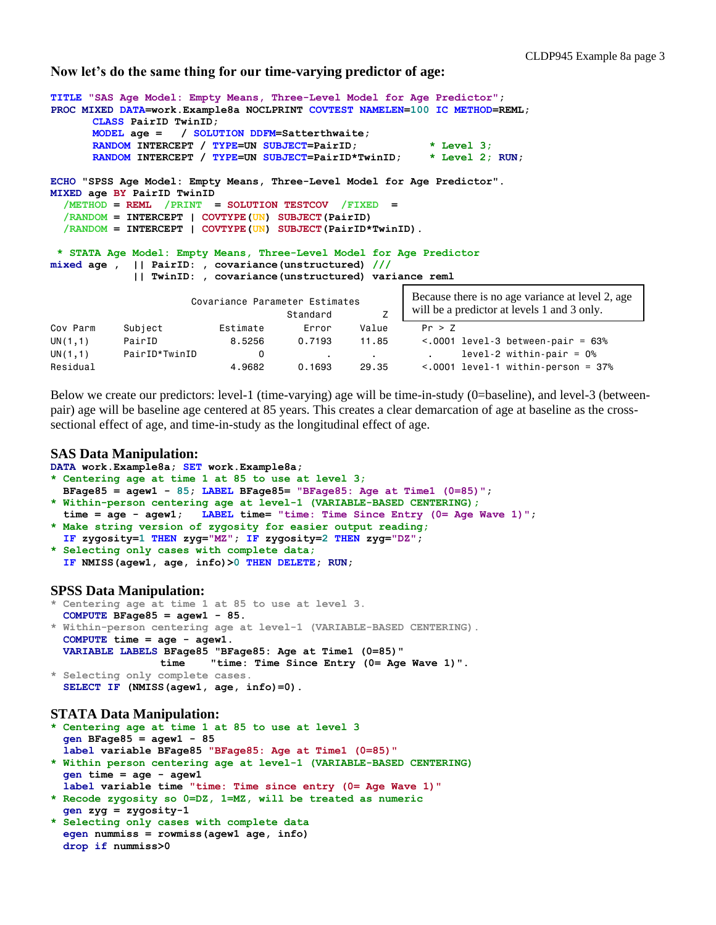**Now let's do the same thing for our time-varying predictor of age:**

```
TITLE "SAS Age Model: Empty Means, Three-Level Model for Age Predictor";
PROC MIXED DATA=work.Example8a NOCLPRINT COVTEST NAMELEN=100 IC METHOD=REML;
      CLASS PairID TwinID;
      MODEL age = / SOLUTION DDFM=Satterthwaite;
      RANDOM INTERCEPT / TYPE=UN SUBJECT=PairID; * Level 3;
      RANDOM INTERCEPT / TYPE=UN SUBJECT=PairID*TwinID; * Level 2; RUN;
ECHO "SPSS Age Model: Empty Means, Three-Level Model for Age Predictor".
MIXED age BY PairID TwinID
   /METHOD = REML /PRINT = SOLUTION TESTCOV /FIXED =
   /RANDOM = INTERCEPT | COVTYPE(UN) SUBJECT(PairID) 
   /RANDOM = INTERCEPT | COVTYPE(UN) SUBJECT(PairID*TwinID).
 * STATA Age Model: Empty Means, Three-Level Model for Age Predictor
mixed age , || PairID: , covariance(unstructured) ///
             || TwinID: , covariance(unstructured) variance reml
                      Covariance Parameter Estimates
                                   Standard Z
Cov Parm Subject Estimate Error Value Pr > Z
UN(1,1) PairID 8.5256 0.7193 11.85 <.0001 level-3 between-pair = 63%
UN(1,1) PairID*TwinID 0 . . . . level-2 within-pair = 0%
Residual 4.9682 0.1693 29.35 <.0001 level-1 within-person = 37%
                                                     Because there is no age variance at level 2, age 
                                                     will be a predictor at levels 1 and 3 only.
```
Below we create our predictors: level-1 (time-varying) age will be time-in-study (0=baseline), and level-3 (betweenpair) age will be baseline age centered at 85 years. This creates a clear demarcation of age at baseline as the crosssectional effect of age, and time-in-study as the longitudinal effect of age.

## **SAS Data Manipulation:**

```
DATA work.Example8a; SET work.Example8a;
* Centering age at time 1 at 85 to use at level 3;
  BFage85 = agew1 - 85; LABEL BFage85= "BFage85: Age at Time1 (0=85)";
* Within-person centering age at level-1 (VARIABLE-BASED CENTERING);
```
- **time = age - agew1; LABEL time= "time: Time Since Entry (0= Age Wave 1)"; \* Make string version of zygosity for easier output reading;**
- **IF zygosity=1 THEN zyg="MZ"; IF zygosity=2 THEN zyg="DZ"; \* Selecting only cases with complete data; IF NMISS(agew1, age, info)>0 THEN DELETE; RUN;**

## **SPSS Data Manipulation:**

**\* Centering age at time 1 at 85 to use at level 3. COMPUTE BFage85 = agew1 - 85.**

```
* Within-person centering age at level-1 (VARIABLE-BASED CENTERING).
  COMPUTE time = age - agew1.
  VARIABLE LABELS BFage85 "BFage85: Age at Time1 (0=85)"
                 time "time: Time Since Entry (0= Age Wave 1)".
```

```
* Selecting only complete cases.
   SELECT IF (NMISS(agew1, age, info)=0).
```
### **STATA Data Manipulation:**

```
* Centering age at time 1 at 85 to use at level 3
  gen BFage85 = agew1 - 85
  label variable BFage85 "BFage85: Age at Time1 (0=85)"
```
- **\* Within person centering age at level-1 (VARIABLE-BASED CENTERING) gen time = age - agew1**
- **label variable time "time: Time since entry (0= Age Wave 1)" \* Recode zygosity so 0=DZ, 1=MZ, will be treated as numeric**
- **gen zyg = zygosity-1 \* Selecting only cases with complete data egen nummiss = rowmiss(agew1 age, info) drop if nummiss>0**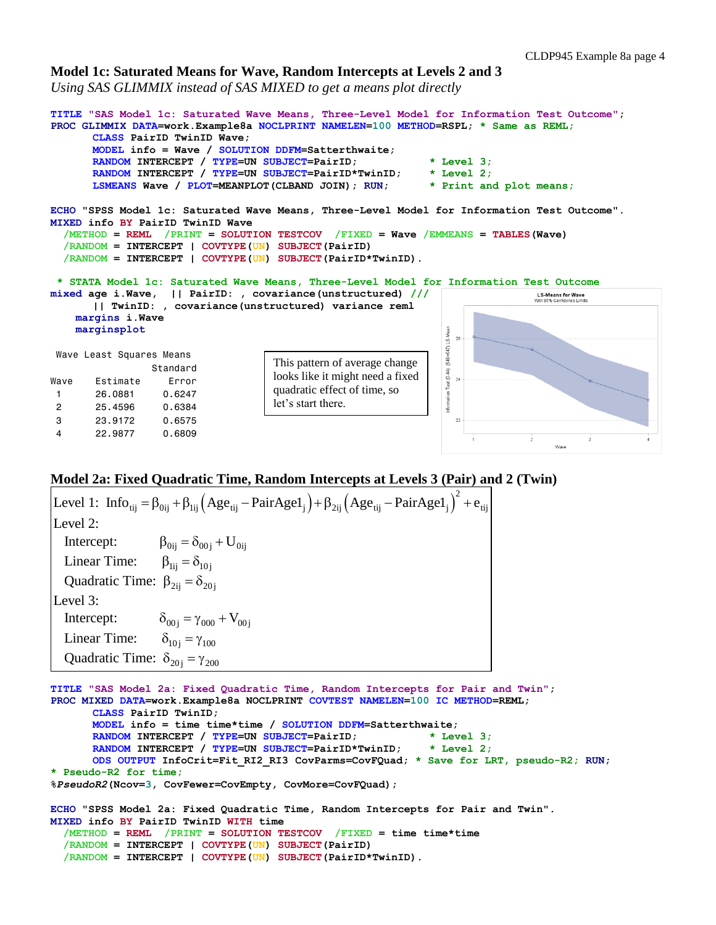## **Model 1c: Saturated Means for Wave, Random Intercepts at Levels 2 and 3**

*Using SAS GLIMMIX instead of SAS MIXED to get a means plot directly*



## **Model 2a: Fixed Quadratic Time, Random Intercepts at Levels 3 (Pair) and 2 (Twin)**

| Level 1: $Info_{\rm tij} = \beta_{\rm 0ij} + \beta_{\rm Iij} (Age_{\rm tij} - PairAge1_i) + \beta_{\rm 2ij} (Age_{\rm tij} - PairAge1_i)^2 + e_{\rm tij}$ |  |
|-----------------------------------------------------------------------------------------------------------------------------------------------------------|--|
| Level 2:                                                                                                                                                  |  |
| Intercept:<br>$\beta_{0ij} = \delta_{00j} + U_{0ij}$                                                                                                      |  |
| $\beta_{1ii} = \delta_{10i}$<br>Linear Time:                                                                                                              |  |
| Quadratic Time: $\beta_{2ii} = \delta_{20i}$                                                                                                              |  |
| Level 3:                                                                                                                                                  |  |
| Intercept:<br>$\delta_{00j} = \gamma_{000} + V_{00j}$                                                                                                     |  |
| Linear Time:<br>$\delta_{10i} = \gamma_{100}$                                                                                                             |  |
| Quadratic Time: $\delta_{20i} = \gamma_{200}$                                                                                                             |  |
|                                                                                                                                                           |  |

```
TITLE "SAS Model 2a: Fixed Quadratic Time, Random Intercepts for Pair and Twin";
PROC MIXED DATA=work.Example8a NOCLPRINT COVTEST NAMELEN=100 IC METHOD=REML;
      CLASS PairID TwinID;
      MODEL info = time time*time / SOLUTION DDFM=Satterthwaite;
      RANDOM INTERCEPT / TYPE=UN SUBJECT=PairID; * Level 3;
      RANDOM INTERCEPT / TYPE=UN SUBJECT=PairID*TwinID; * Level 2;
      ODS OUTPUT InfoCrit=Fit_RI2_RI3 CovParms=CovFQuad; * Save for LRT, pseudo-R2; RUN;
* Pseudo-R2 for time;
%PseudoR2(Ncov=3, CovFewer=CovEmpty, CovMore=CovFQuad);
ECHO "SPSS Model 2a: Fixed Quadratic Time, Random Intercepts for Pair and Twin".
```

```
MIXED info BY PairID TwinID WITH time
   /METHOD = REML /PRINT = SOLUTION TESTCOV /FIXED = time time*time
   /RANDOM = INTERCEPT | COVTYPE(UN) SUBJECT(PairID) 
   /RANDOM = INTERCEPT | COVTYPE(UN) SUBJECT(PairID*TwinID).
```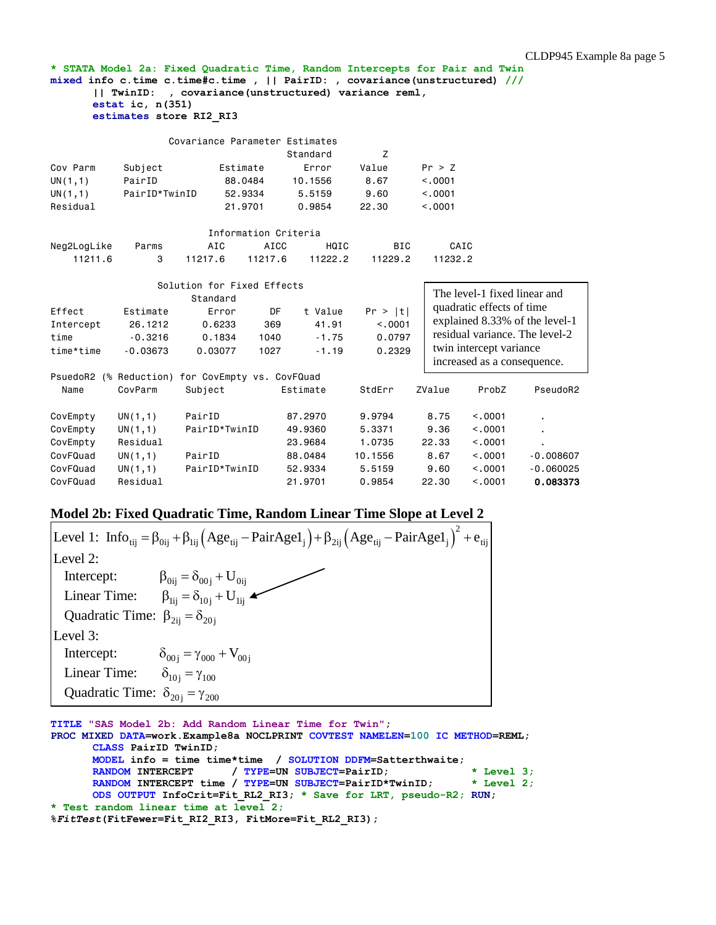**\* STATA Model 2a: Fixed Quadratic Time, Random Intercepts for Pair and Twin mixed info c.time c.time#c.time , || PairID: , covariance(unstructured) /// || TwinID: , covariance(unstructured) variance reml, estat ic, n(351) estimates store RI2\_RI3**

|             |                            | Covariance Parameter Estimates                   |                      |          |            |         |                              |                                |  |  |
|-------------|----------------------------|--------------------------------------------------|----------------------|----------|------------|---------|------------------------------|--------------------------------|--|--|
|             |                            |                                                  |                      | Standard | Z          |         |                              |                                |  |  |
| Cov Parm    | Subject                    | Estimate                                         |                      | Error    | Value      | Pr > Z  |                              |                                |  |  |
| UN(1,1)     | PairID                     |                                                  | 88,0484              | 10.1556  | 8.67       | < 0.001 |                              |                                |  |  |
| UN(1,1)     | PairID*TwinID              |                                                  | 52,9334              | 5.5159   | 9.60       | < 0.001 |                              |                                |  |  |
| Residual    |                            |                                                  | 21,9701              | 0.9854   | 22,30      | < 0.001 |                              |                                |  |  |
|             |                            |                                                  | Information Criteria |          |            |         |                              |                                |  |  |
| Neg2LogLike | Parms                      | AIC                                              | AICC                 | HQIC     | <b>BIC</b> | CAIC    |                              |                                |  |  |
| 11211.6     | 3                          | 11217.6                                          | 11217.6              | 11222.2  | 11229.2    | 11232.2 |                              |                                |  |  |
|             | Solution for Fixed Effects |                                                  |                      |          |            |         |                              |                                |  |  |
| Standard    |                            |                                                  |                      |          |            |         | The level-1 fixed linear and |                                |  |  |
| Effect      | Estimate                   | Error                                            | DF                   | t Value  | Pr >  t    |         | quadratic effects of time    |                                |  |  |
| Intercept   | 26,1212                    | 0.6233                                           | 369                  | 41.91    | < 0.001    |         |                              | explained 8.33% of the level-1 |  |  |
| time        | $-0.3216$                  | 0.1834                                           | 1040                 | $-1.75$  | 0.0797     |         |                              | residual variance. The level-2 |  |  |
| time*time   | $-0.03673$                 | 0.03077                                          | 1027                 | $-1.19$  | 0.2329     |         | twin intercept variance      |                                |  |  |
|             |                            |                                                  |                      |          |            |         | increased as a consequence.  |                                |  |  |
|             |                            | PsuedoR2 (% Reduction) for CovEmpty vs. CovFQuad |                      |          |            |         |                              |                                |  |  |
| Name        | CovParm                    | Subject                                          |                      | Estimate | StdErr     | ZValue  | ProbZ                        | PseudoR2                       |  |  |
| CovEmpty    | UN(1,1)                    | PairID                                           |                      | 87,2970  | 9.9794     | 8.75    | < 0.001                      | $\blacksquare$                 |  |  |
| CovEmpty    | UN(1,1)                    | PairID*TwinID                                    |                      | 49,9360  | 5.3371     | 9.36    | < 0.001                      | $\mathbf{r}$                   |  |  |
| CovEmpty    | Residual                   |                                                  |                      | 23,9684  | 1.0735     | 22.33   | < 0.001                      | $\blacksquare$                 |  |  |
| CovFQuad    | UN(1,1)                    | PairID                                           |                      | 88,0484  | 10.1556    | 8.67    | < 0.001                      | $-0.008607$                    |  |  |
| CovFQuad    | UN(1,1)                    | PairID*TwinID                                    |                      | 52.9334  | 5.5159     | 9.60    | < 0.001                      | $-0.060025$                    |  |  |
| CovFQuad    | Residual                   |                                                  |                      | 21,9701  | 0.9854     | 22.30   | < 0.001                      | 0.083373                       |  |  |

# **Model 2b: Fixed Quadratic Time, Random Linear Time Slope at Level 2**

|                                               | Level 1: $Info_{\rm{tij}} = \beta_{\rm{0ij}} + \beta_{\rm{Iij}}(Age_{\rm{tij}} - PairAge1_{i}) + \beta_{\rm{2ij}}(Age_{\rm{tij}} - PairAge1_{i})^{2} + e_{\rm{tij}}$ |
|-----------------------------------------------|----------------------------------------------------------------------------------------------------------------------------------------------------------------------|
| Level 2:                                      |                                                                                                                                                                      |
| Intercept:                                    | $\beta_{0ij} = \delta_{00j} + U_{0ij}$                                                                                                                               |
| Linear Time:                                  | $\beta_{\text{li}} = \delta_{10i} + U_{\text{li}}$                                                                                                                   |
| Quadratic Time: $\beta_{2ii} = \delta_{20i}$  |                                                                                                                                                                      |
| Level 3:                                      |                                                                                                                                                                      |
| Intercept:                                    | $\delta_{00j} = \gamma_{000} + V_{00j}$                                                                                                                              |
| Linear Time:                                  | $\delta_{10i} = \gamma_{100}$                                                                                                                                        |
| Quadratic Time: $\delta_{20i} = \gamma_{200}$ |                                                                                                                                                                      |

**TITLE "SAS Model 2b: Add Random Linear Time for Twin"; PROC MIXED DATA=work.Example8a NOCLPRINT COVTEST NAMELEN=100 IC METHOD=REML; CLASS PairID TwinID; MODEL info = time time\*time / SOLUTION DDFM=Satterthwaite; RANDOM INTERCEPT / TYPE=UN SUBJECT=PairID; \* Level 3; RANDOM INTERCEPT time / TYPE=UN SUBJECT=PairID\*TwinID; \* Level 2; ODS OUTPUT InfoCrit=Fit\_RL2\_RI3; \* Save for LRT, pseudo-R2; RUN; \* Test random linear time at level 2; %***FitTest***(FitFewer=Fit\_RI2\_RI3, FitMore=Fit\_RL2\_RI3);**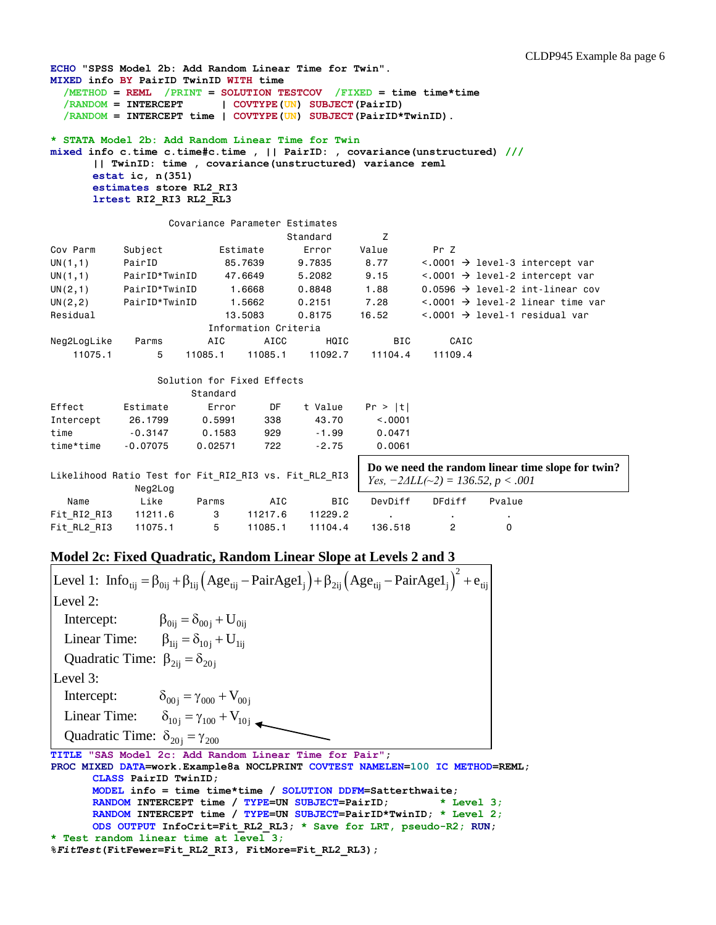```
ECHO "SPSS Model 2b: Add Random Linear Time for Twin".
MIXED info BY PairID TwinID WITH time
   /METHOD = REML /PRINT = SOLUTION TESTCOV /FIXED = time time*time
   /RANDOM = INTERCEPT | COVTYPE(UN) SUBJECT(PairID) 
  /RANDOM = INTERCEPT time | COVTYPE(UN) SUBJECT(PairID*TwinID).
* STATA Model 2b: Add Random Linear Time for Twin
mixed info c.time c.time#c.time , || PairID: , covariance(unstructured) ///
      || TwinID: time , covariance(unstructured) variance reml
     estat ic, n(351)
     estimates store RL2_RI3
     lrtest RI2_RI3 RL2_RL3
                 Covariance Parameter Estimates
                                 Standard Z
Cov Parm Subject Estimate Error Value Pr Z
UN(1,1) PairID 85.7639 9.7835 8.77 <.0001 \rightarrow level-3 intercept var
UN(1,1) PairID*TwinID 47.6649 5.2082 9.15 <.0001 \rightarrow level-2 intercept var
UN(2,1) PairID*TwinID 1.6668 0.8848 1.88 0.0596 \rightarrow level-2 int-linear cov
UN(2,2) PairID*TwinID 1.5662 0.2151 7.28 <.0001 \rightarrow level-2 linear time var
Residual 13.5083 0.8175 16.52 <.0001 > level-1 residual var
                       Information Criteria
Neg2LogLike Parms AIC AICC HQIC BIC CAIC
    11075.1 5 11085.1 11085.1 11092.7 11104.4 11109.4
                Solution for Fixed Effects
                    Standard
Effect Estimate Error DF t Value Pr > |t|
Intercept 26.1799 0.5991 338 43.70 <.0001
time -0.3147 0.1583 929 -1.99 0.0471
time*time -0.07075 0.02571 722 -2.75 0.0061
Likelihood Ratio Test for Fit RI2 RI3 vs. Fit RL2 RI3
            Neg2Log
 Name Like Parms AIC BIC DevDiff DFdiff Pvalue
Fit RI2 RI3 11211.6 3 11217.6 11229.2
Fit_RL2_RI3 11075.1 5 11085.1 11104.4 136.518 2 0
                                            Do we need the random linear time slope for twin?
                                            Yes, -2\Delta LL(~2) = 136.52, p < .001
```
## **Model 2c: Fixed Quadratic, Random Linear Slope at Levels 2 and 3**

```
(Age_{\text{tij}} - \text{PairAge1}_{j}) + \beta_{2ij} (Age_{\text{tij}} - \text{PairAge1}_{j})^{2}Level 1: Info_{ij} = \beta_{0ij} + \beta_{1ij} (Age_{tij} - PairAge1_j) + \beta_{2ij} (Age_{tij} - PairAge1_j) + e_{tij}Intercept: \beta_{0ij} = \delta_{00j} + U_{0ij}Linear Time: \beta_{1ij} = \delta_{10j} + U_{1ij}Quadratic Time: \beta_{2ij} = \delta_{20j}Level 2: 
Level 3: 
 Intercept: \delta_{00j} = \gamma_{000} + V_{00j}Linear Time: \delta_{10j} = \gamma_{100} + V_{10j}Quadratic Time: \delta_{20j} = \gamma_{200}TITLE "SAS Model 2c: Add Random Linear Time for Pair";
PROC MIXED DATA=work.Example8a NOCLPRINT COVTEST NAMELEN=100 IC METHOD=REML;
        CLASS PairID TwinID;
        MODEL info = time time*time / SOLUTION DDFM=Satterthwaite;
        RANDOM INTERCEPT time / TYPE=UN SUBJECT=PairID; * Level 3;
        RANDOM INTERCEPT time / TYPE=UN SUBJECT=PairID*TwinID; * Level 2;
        ODS OUTPUT InfoCrit=Fit_RL2_RL3; * Save for LRT, pseudo-R2; RUN; 
* Test random linear time at level 3;
%FitTest(FitFewer=Fit_RL2_RI3, FitMore=Fit_RL2_RL3);
```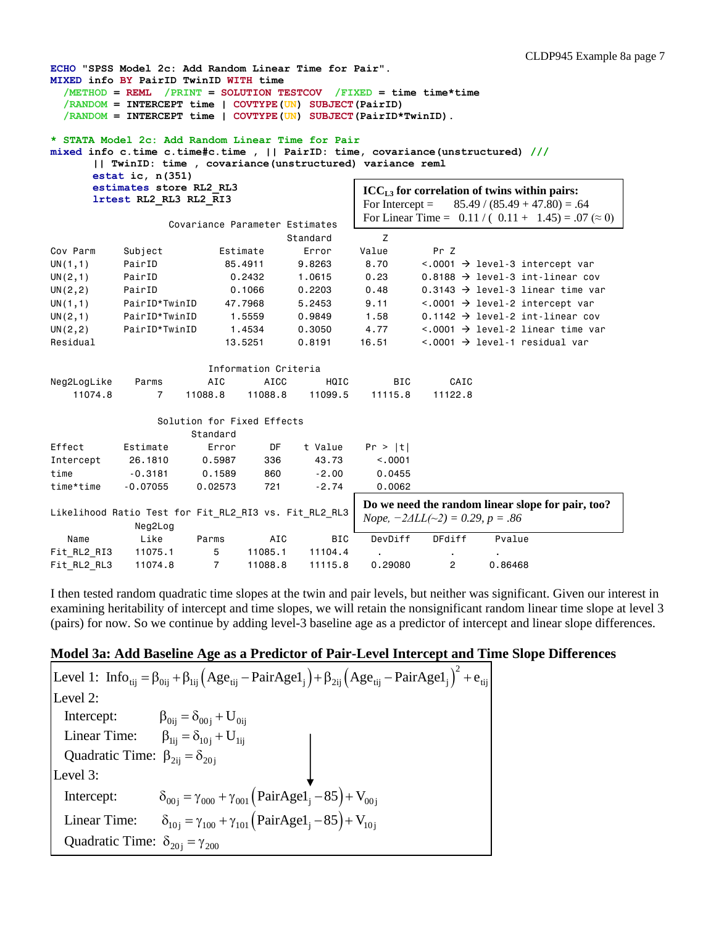| ECHO "SPSS Model 2c: Add Random Linear Time for Pair".                          |                                                                                                                            |                                |                      |                                                        |                   |                |                |                                                                 |  |  |
|---------------------------------------------------------------------------------|----------------------------------------------------------------------------------------------------------------------------|--------------------------------|----------------------|--------------------------------------------------------|-------------------|----------------|----------------|-----------------------------------------------------------------|--|--|
| MIXED info BY PairID TwinID WITH time                                           |                                                                                                                            |                                |                      |                                                        |                   |                |                |                                                                 |  |  |
|                                                                                 | $/$ METHOD = REML $/$ PRINT = SOLUTION TESTCOV $/$ FIXED = time time*time                                                  |                                |                      |                                                        |                   |                |                |                                                                 |  |  |
|                                                                                 | /RANDOM = INTERCEPT time   COVTYPE (UN) SUBJECT (PairID)<br>/RANDOM = INTERCEPT time   COVTYPE(UN) SUBJECT(PairID*TwinID). |                                |                      |                                                        |                   |                |                |                                                                 |  |  |
|                                                                                 |                                                                                                                            |                                |                      |                                                        |                   |                |                |                                                                 |  |  |
| * STATA Model 2c: Add Random Linear Time for Pair                               |                                                                                                                            |                                |                      |                                                        |                   |                |                |                                                                 |  |  |
| mixed info c.time c.time#c.time ,    PairID: time, covariance(unstructured) /// |                                                                                                                            |                                |                      |                                                        |                   |                |                |                                                                 |  |  |
| TwinID: time , covariance (unstructured) variance reml                          |                                                                                                                            |                                |                      |                                                        |                   |                |                |                                                                 |  |  |
| estat ic, $n(351)$                                                              |                                                                                                                            |                                |                      |                                                        |                   |                |                |                                                                 |  |  |
|                                                                                 | estimates store RL2 RL3                                                                                                    |                                |                      |                                                        |                   |                |                | $\text{ICC}_{\text{L3}}$ for correlation of twins within pairs: |  |  |
|                                                                                 | lrtest RL2 RL3 RL2 RI3                                                                                                     |                                |                      |                                                        | For Intercept $=$ |                |                | $85.49 / (85.49 + 47.80) = .64$                                 |  |  |
|                                                                                 |                                                                                                                            |                                |                      |                                                        |                   |                |                | For Linear Time = $0.11 / (0.11 + 1.45) = .07 \approx 0$        |  |  |
|                                                                                 |                                                                                                                            | Covariance Parameter Estimates |                      |                                                        |                   |                |                |                                                                 |  |  |
|                                                                                 |                                                                                                                            |                                |                      | Standard                                               | Z                 |                |                |                                                                 |  |  |
| Cov Parm                                                                        | Subject                                                                                                                    |                                | Estimate             | Error                                                  | Value             | Pr Z           |                |                                                                 |  |  |
| UN(1,1)                                                                         | PairID                                                                                                                     |                                | 85,4911              | 9.8263                                                 | 8.70              |                |                | $\langle .0001 \rangle$ + level-3 intercept var                 |  |  |
| UN(2,1)                                                                         | PairID                                                                                                                     |                                | 0.2432               | 1.0615                                                 | 0.23              |                |                | 0.8188 $\rightarrow$ level-3 int-linear cov                     |  |  |
| UN(2, 2)                                                                        | PairID                                                                                                                     |                                | 0.1066               | 0.2203                                                 | 0.48              |                |                | 0.3143 $\rightarrow$ level-3 linear time var                    |  |  |
| UN(1,1)                                                                         | PairID*TwinID                                                                                                              |                                | 47.7968              | 5.2453                                                 | 9.11              |                |                | $\langle .0001 \rangle$ + level-2 intercept var                 |  |  |
| UN(2,1)                                                                         | PairID*TwinID                                                                                                              |                                | 1.5559               | 0.9849                                                 | 1.58              |                |                | $0.1142 \rightarrow$ level-2 int-linear cov                     |  |  |
| UN(2, 2)                                                                        | PairID*TwinID                                                                                                              |                                | 1.4534               | 0.3050                                                 | 4.77              |                |                | $\leq$ .0001 $\rightarrow$ level-2 linear time var              |  |  |
| Residual                                                                        |                                                                                                                            |                                | 13,5251              | 0.8191                                                 | 16.51             |                |                | $\leq$ .0001 $\rightarrow$ level-1 residual var                 |  |  |
|                                                                                 |                                                                                                                            |                                | Information Criteria |                                                        |                   |                |                |                                                                 |  |  |
| Neg2LogLike                                                                     | Parms                                                                                                                      | AIC                            | AICC                 | HQIC                                                   | <b>BIC</b>        | CAIC           |                |                                                                 |  |  |
| 11074.8                                                                         | $\overline{7}$                                                                                                             | 11088.8                        | 11088.8              | 11099.5                                                | 11115.8           | 11122.8        |                |                                                                 |  |  |
|                                                                                 |                                                                                                                            | Solution for Fixed Effects     |                      |                                                        |                   |                |                |                                                                 |  |  |
|                                                                                 |                                                                                                                            | Standard                       |                      |                                                        |                   |                |                |                                                                 |  |  |
| Effect                                                                          | Estimate                                                                                                                   | Error                          | DF                   | t Value                                                | Pr >  t           |                |                |                                                                 |  |  |
| Intercept                                                                       | 26,1810                                                                                                                    | 0.5987                         | 336                  | 43.73                                                  | < 0.001           |                |                |                                                                 |  |  |
| time                                                                            | $-0.3181$                                                                                                                  | 0.1589                         | 860                  | $-2.00$                                                | 0.0455            |                |                |                                                                 |  |  |
| time*time                                                                       | $-0.07055$                                                                                                                 | 0.02573                        | 721                  | $-2.74$                                                | 0.0062            |                |                |                                                                 |  |  |
|                                                                                 |                                                                                                                            |                                |                      |                                                        |                   |                |                |                                                                 |  |  |
| Likelihood Ratio Test for Fit_RL2_RI3 vs. Fit_RL2_RL3                           |                                                                                                                            |                                |                      |                                                        |                   |                |                | Do we need the random linear slope for pair, too?               |  |  |
|                                                                                 | Neg2Log                                                                                                                    |                                |                      | <i>Nope</i> , $-2\Delta LL(\sim 2) = 0.29$ , $p = .86$ |                   |                |                |                                                                 |  |  |
| Name                                                                            | Like                                                                                                                       | Parms                          | AIC                  | <b>BIC</b>                                             | DevDiff           | DFdiff         | Pvalue         |                                                                 |  |  |
| Fit RL2 RI3                                                                     | 11075.1                                                                                                                    | 5                              | 11085.1              | 11104.4                                                |                   |                | $\blacksquare$ |                                                                 |  |  |
| Fit RL2 RL3                                                                     | 11074.8                                                                                                                    | $\overline{7}$                 | 11088.8              | 11115.8                                                | 0.29080           | $\overline{c}$ | 0.86468        |                                                                 |  |  |

I then tested random quadratic time slopes at the twin and pair levels, but neither was significant. Given our interest in examining heritability of intercept and time slopes, we will retain the nonsignificant random linear time slope at level 3 (pairs) for now. So we continue by adding level-3 baseline age as a predictor of intercept and linear slope differences.

# **Model 3a: Add Baseline Age as a Predictor of Pair-Level Intercept and Time Slope Differences**

```
(Age_{\text{tij}} - \text{PairAgel}_{j}) + \beta_{2ij} (Age_{\text{tij}} - \text{PairAgel}_{j})^2Level 1: Info_{\text{tij}} = \beta_{\text{0ij}} + \beta_{\text{1ij}} (Age_{\text{tij}} - \text{PairAge1}_j) + \beta_{\text{2ij}} (Age_{\text{tij}} - \text{PairAge1}_j) + e_{\text{tij}}Intercept: \beta_{0ij} = \delta_{00j} + U_{0ij}Linear Time: \beta_{1ij} = \delta_{10j} + U_{1ij}Quadratic Time: \beta_{2ij} = \delta_{20j}Level 2: 
Level 3: 
 Intercept: \delta_{00j} = \gamma_{000} + \gamma_{001} (\text{PairAgel}_{j} - 85) + V_{00j}Linear Time: \delta_{10j} = \gamma_{100} + \gamma_{101} (\text{PairAgel}_{j} - 85) + V_{10j}Quadratic Time: \delta_{20j} = \gamma_{200}
```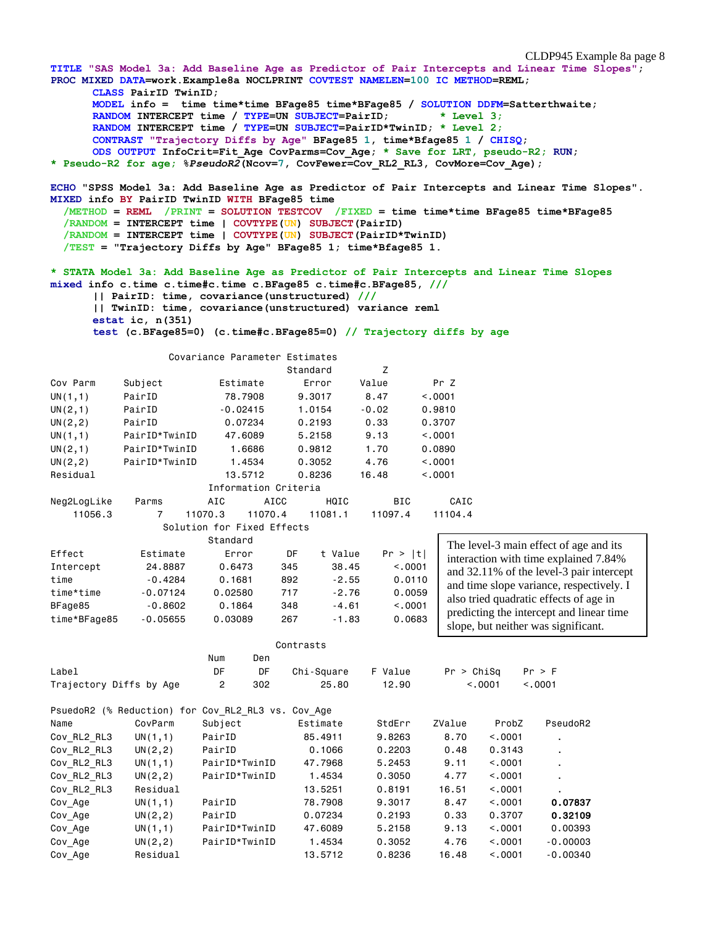#### CLDP945 Example 8a page 8

**TITLE "SAS Model 3a: Add Baseline Age as Predictor of Pair Intercepts and Linear Time Slopes"; PROC MIXED DATA=work.Example8a NOCLPRINT COVTEST NAMELEN=100 IC METHOD=REML; CLASS PairID TwinID; MODEL info = time time\*time BFage85 time\*BFage85 / SOLUTION DDFM=Satterthwaite; RANDOM INTERCEPT time / TYPE=UN SUBJECT=PairID; \* Level 3; RANDOM INTERCEPT time / TYPE=UN SUBJECT=PairID\*TwinID; \* Level 2; CONTRAST "Trajectory Diffs by Age" BFage85 1, time\*Bfage85 1 / CHISQ; ODS OUTPUT InfoCrit=Fit\_Age CovParms=Cov\_Age; \* Save for LRT, pseudo-R2; RUN; \* Pseudo-R2 for age; %***PseudoR2***(Ncov=7, CovFewer=Cov\_RL2\_RL3, CovMore=Cov\_Age); ECHO "SPSS Model 3a: Add Baseline Age as Predictor of Pair Intercepts and Linear Time Slopes". MIXED info BY PairID TwinID WITH BFage85 time /METHOD = REML /PRINT = SOLUTION TESTCOV /FIXED = time time\*time BFage85 time\*BFage85 /RANDOM = INTERCEPT time | COVTYPE(UN) SUBJECT(PairID) /RANDOM = INTERCEPT time | COVTYPE(UN) SUBJECT(PairID\*TwinID) /TEST = "Trajectory Diffs by Age" BFage85 1; time\*Bfage85 1. \* STATA Model 3a: Add Baseline Age as Predictor of Pair Intercepts and Linear Time Slopes mixed info c.time c.time#c.time c.BFage85 c.time#c.BFage85, /// || PairID: time, covariance(unstructured) /// || TwinID: time, covariance(unstructured) variance reml estat ic, n(351) test (c.BFage85=0) (c.time#c.BFage85=0) // Trajectory diffs by age** Covariance Parameter Estimates Standard Z Cov Parm Subject Estimate Error Value Pr Z UN(1,1) PairID 78.7908 9.3017 8.47 <.0001 UN(2,1) PairID -0.02415 1.0154 -0.02 0.9810 UN(2,2) PairID 0.07234 0.2193 0.33 0.3707 UN(1,1) PairID\*TwinID 47.6089 5.2158 9.13 <.0001 UN(2,1) PairID\*TwinID 1.6686 0.9812 1.70 0.0890 UN(2,2) PairID\*TwinID 1.4534 0.3052 4.76 <.0001 Residual 13.5712 0.8236 16.48 <.0001 Information Criteria Neg2LogLike Parms AIC AICC HQIC BIC CAIC 11056.3 7 11070.3 11070.4 11081.1 11097.4 11104.4 Solution for Fixed Effects Standard Effect Estimate Error DF t Value Pr > |t| Intercept 24.8887 0.6473 345 38.45 <.0001 time -0.4284 0.1681 892 -2.55 0.0110 time\*time -0.07124 0.02580 717 -2.76 0.0059 BFage85 -0.8602 0.1864 348 -4.61 <.0001 time\*BFage85 -0.05655 0.03089 267 -1.83 0.0683 Contrasts Num Den Label DF DF Chi-Square F Value Pr > ChiSq Pr > F Trajectory Diffs by Age 2 302 25.80 12.90 <.0001 <.0001 PsuedoR2 (% Reduction) for Cov\_RL2\_RL3 vs. Cov\_Age Name CovParm Subject Estimate StdErr ZValue ProbZ PseudoR2 Cov RL2 RL3 UN(1,1) PairID 85.4911 9.8263 8.70 <.0001 . Cov\_RL2\_RL3 UN(2,2) PairID 0.1066 0.2203 0.48 0.3143 . Cov\_RL2\_RL3 UN(1,1) PairID\*TwinID 47.7968 5.2453 9.11 <.0001 . Cov\_RL2\_RL3 UN(2,2) PairID\*TwinID 1.4534 0.3050 4.77 <.0001 . Cov RL2 RL3 Residual 2000 13.5251 0.8191 16.51 <.0001 Cov\_Age UN(1,1) PairID 78.7908 9.3017 8.47 <.0001 0.07837 Cov\_Age UN(2,2) PairID 0.07234 0.2193 0.33 0.3707 **0.32109** Cov\_Age UN(1,1) PairID\*TwinID 47.6089 5.2158 9.13 <.0001 0.00393 Cov Age UN(2,2) PairID\*TwinID 1.4534 0.3052 4.76 <.0001 -0.00003 Cov\_Age Residual 13.5712 0.8236 16.48 <.0001 -0.00340 The level-3 main effect of age and its interaction with time explained 7.84% and 32.11% of the level-3 pair intercept and time slope variance, respectively. I also tried quadratic effects of age in predicting the intercept and linear time slope, but neither was significant.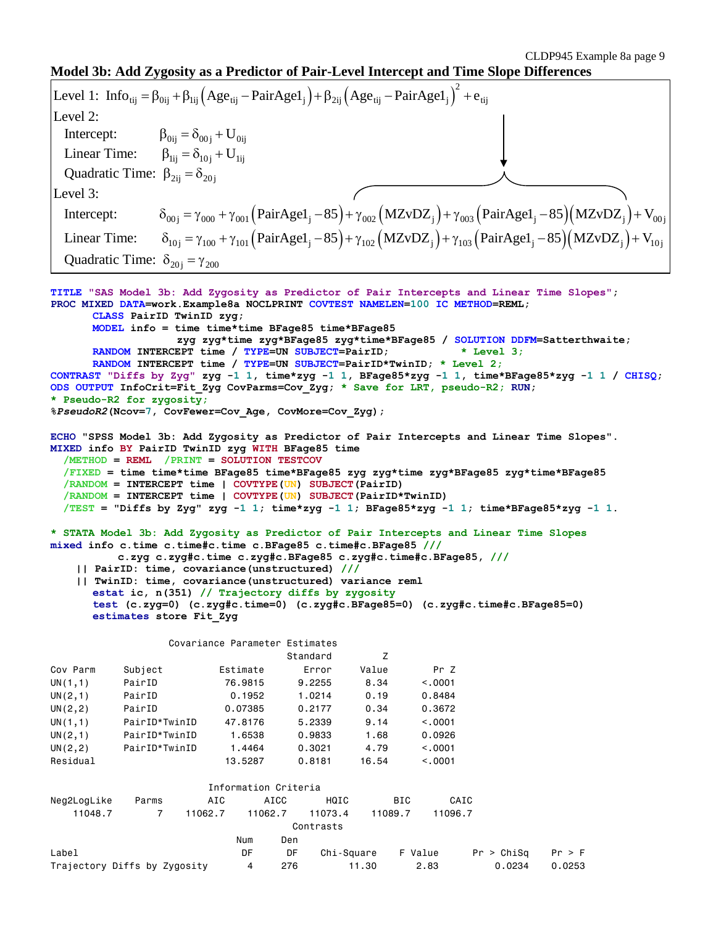```
Model 3b: Add Zygosity as a Predictor of Pair-Level Intercept and Time Slope Differences
                          (Age_{\text{tij}} - \text{PairAgel}_{j}) + \beta_{2ij} (Age_{\text{tij}} - \text{PairAgel}_{j})^2Level 1: Info_{ij} = \beta_{0ij} + \beta_{1ij} (Age_{tij} - PairAge1_j) + \beta_{2ij} (Age_{tij} - PairAge1_j) + e_{tij}Intercept: \beta_{0ij} = \delta_{00j} + U_{0ij}Linear Time: \beta_{1ij} = \delta_{10j} + U_{1ij}Quadratic Time: \beta_{2ij} = \delta_{20j}Level 2: 
Level 3: 
 Intercept: \delta_{00} = \gamma_{000} + \gamma_{001} (\text{PairAgel}_j - 85) + \gamma_{002} (\text{MZvDZ}_j) + \gamma_{003} (\text{PairAgel}_j - 85) (\text{MZvDZ}_j) + V_{00j} (\text{PairAgel}_j - 85)Linear Time: \delta_{10} = \gamma_{100} + \gamma_{101} (PairAge1_{j} - 85) + \gamma_{102} (MZvDZ_{j}) + \gamma_{103} (PairAge1_{j} - 85) (MZvDZ_{j}) + V_{10j}Quadratic Time: \delta_{20j} = \gamma_{200}TITLE "SAS Model 3b: Add Zygosity as Predictor of Pair Intercepts and Linear Time Slopes";
PROC MIXED DATA=work.Example8a NOCLPRINT COVTEST NAMELEN=100 IC METHOD=REML;
       CLASS PairID TwinID zyg;
       MODEL info = time time*time BFage85 time*BFage85 
                     zyg zyg*time zyg*BFage85 zyg*time*BFage85 / SOLUTION DDFM=Satterthwaite;
       RANDOM INTERCEPT time / TYPE=UN SUBJECT=PairID; * Level 3;
       RANDOM INTERCEPT time / TYPE=UN SUBJECT=PairID*TwinID; * Level 2;
CONTRAST "Diffs by Zyg" zyg -1 1, time*zyg -1 1, BFage85*zyg -1 1, time*BFage85*zyg -1 1 / CHISQ;
ODS OUTPUT InfoCrit=Fit_Zyg CovParms=Cov_Zyg; * Save for LRT, pseudo-R2; RUN; 
* Pseudo-R2 for zygosity;
%PseudoR2(Ncov=7, CovFewer=Cov_Age, CovMore=Cov_Zyg);
ECHO "SPSS Model 3b: Add Zygosity as Predictor of Pair Intercepts and Linear Time Slopes".
MIXED info BY PairID TwinID zyg WITH BFage85 time
   /METHOD = REML /PRINT = SOLUTION TESTCOV 
   /FIXED = time time*time BFage85 time*BFage85 zyg zyg*time zyg*BFage85 zyg*time*BFage85
   /RANDOM = INTERCEPT time | COVTYPE(UN) SUBJECT(PairID)
   /RANDOM = INTERCEPT time | COVTYPE(UN) SUBJECT(PairID*TwinID)
   /TEST = "Diffs by Zyg" zyg -1 1; time*zyg -1 1; BFage85*zyg -1 1; time*BFage85*zyg -1 1.
* STATA Model 3b: Add Zygosity as Predictor of Pair Intercepts and Linear Time Slopes
mixed info c.time c.time#c.time c.BFage85 c.time#c.BFage85 ///
            c.zyg c.zyg#c.time c.zyg#c.BFage85 c.zyg#c.time#c.BFage85, ///
     || PairID: time, covariance(unstructured) ///
     || TwinID: time, covariance(unstructured) variance reml
       estat ic, n(351) // Trajectory diffs by zygosity
       test (c.zyg=0) (c.zyg#c.time=0) (c.zyg#c.BFage85=0) (c.zyg#c.time#c.BFage85=0)
       estimates store Fit_Zyg
                     Covariance Parameter Estimates
                                        Standard Z
Cov Parm Subject Estimate Error Value Pr Z
UN(1,1) PairID 76.9815 9.2255 8.34 <.0001
UN(2,1) PairID 0.1952 1.0214 0.19 0.8484
UN(2,2) PairID 0.07385 0.2177 0.34 0.3672
UN(1,1) PairID*TwinID 47.8176 5.2339 9.14 <.0001
UN(2,1) PairID*TwinID 1.6538 0.9833 1.68 0.0926
UN(2,2) PairID*TwinID 1.4464 0.3021 4.79 <.0001
Residual 13.5287 0.8181 16.54 <.0001
                            Information Criteria
```

|                              |       |         | THIS INGLES IN STREET TO |         |            |       |         |         |            |        |
|------------------------------|-------|---------|--------------------------|---------|------------|-------|---------|---------|------------|--------|
| Neg2LogLike                  | Parms | AIC     |                          | AICC    | HQIC       |       | BIC.    | CAIC    |            |        |
| 11048.7                      |       | 11062.7 |                          | 11062.7 | 11073.4    |       | 11089.7 | 11096.7 |            |        |
|                              |       |         |                          |         | Contrasts  |       |         |         |            |        |
|                              |       |         | Num                      | Den     |            |       |         |         |            |        |
| Label                        |       |         | DF                       | DF      | Chi-Square |       | F Value |         | Pr > Chisq | Pr > F |
| Trajectory Diffs by Zygosity |       |         | 4                        | 276     |            | 11.30 |         | 2.83    | 0.0234     | 0.0253 |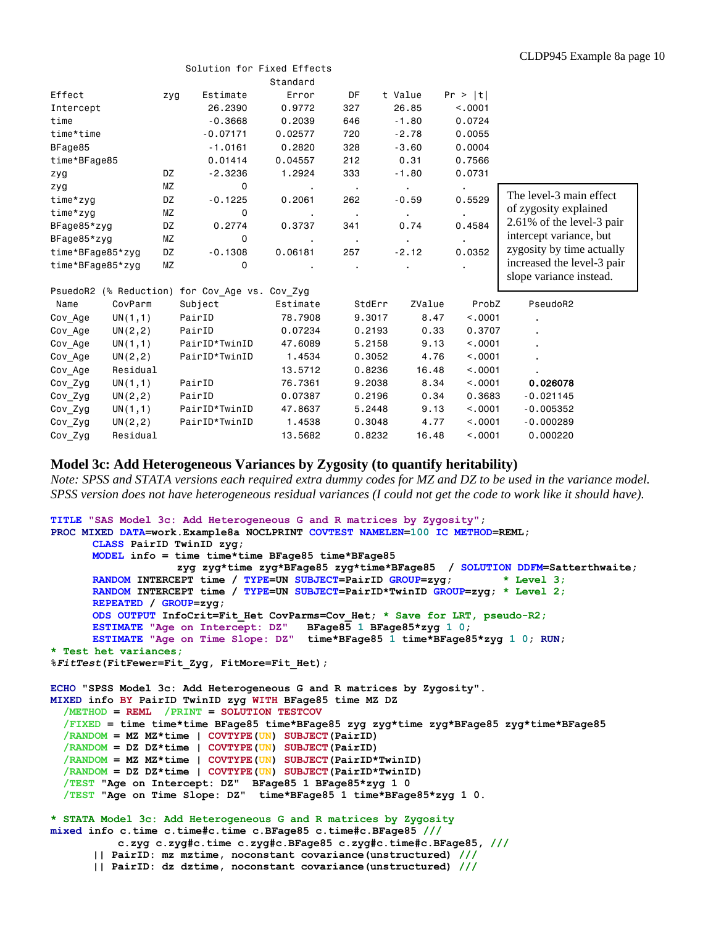|                  |          |     | Solution for Fixed Effects                     |                |                  |                |         | $22.7.6$ 2.1.1.1.1.pro $8.4$ pm |
|------------------|----------|-----|------------------------------------------------|----------------|------------------|----------------|---------|---------------------------------|
|                  |          |     |                                                | Standard       |                  |                |         |                                 |
| Effect           |          | zyg | Estimate                                       | Error          | DF               | t Value        | Pr >  t |                                 |
| Intercept        |          |     | 26,2390                                        | 0.9772         | 327              | 26.85          | < 0.001 |                                 |
| time             |          |     | $-0.3668$                                      | 0.2039         | 646              | $-1.80$        | 0.0724  |                                 |
| time*time        |          |     | $-0.07171$                                     | 0.02577        | 720              | $-2.78$        | 0.0055  |                                 |
| BFage85          |          |     | $-1.0161$                                      | 0.2820         | 328              | $-3.60$        | 0.0004  |                                 |
| time*BFage85     |          |     | 0.01414                                        | 0.04557        | 212              | 0.31           | 0.7566  |                                 |
| zyg              |          | DZ  | $-2.3236$                                      | 1.2924         | 333              | $-1.80$        | 0.0731  |                                 |
| zyg              |          | MZ  | 0                                              |                | $\sim$           | $\bullet$      |         |                                 |
| time*zyg         |          | DZ  | $-0.1225$                                      | 0.2061         | 262              | $-0.59$        | 0.5529  | The level-3 main effect         |
| time*zyg         |          | ΜZ  | 0                                              | $\blacksquare$ | $\sim$           | $\bullet$      |         | of zygosity explained           |
| BFage85*zyg      |          | DZ  | 0.2774                                         | 0.3737         | 341              | 0.74           | 0.4584  | 2.61% of the level-3 pair       |
| BFage85*zyg      |          | ΜZ  | 0                                              |                | $\sim$ 100 $\pm$ | $\blacksquare$ |         | intercept variance, but         |
| time*BFage85*zyg |          | DZ  | $-0.1308$                                      | 0.06181        | 257              | $-2.12$        | 0.0352  | zygosity by time actually       |
| time*BFage85*zyg |          | ΜZ  | 0                                              |                |                  |                |         | increased the level-3 pair      |
|                  |          |     |                                                |                |                  |                |         | slope variance instead.         |
|                  |          |     | PsuedoR2 (% Reduction) for Cov Age vs. Cov Zyg |                |                  |                |         |                                 |
| Name             | CovParm  |     | Subject                                        | Estimate       | StdErr           | ZValue         | ProbZ   | PseudoR2                        |
| Cov Age          | UN(1,1)  |     | PairID                                         | 78.7908        | 9.3017           | 8.47           | < .0001 |                                 |
| Cov Age          | UN(2, 2) |     | PairID                                         | 0.07234        | 0.2193           | 0.33           | 0.3707  |                                 |
| Cov Age          | UN(1,1)  |     | PairID*TwinID                                  | 47.6089        | 5.2158           | 9.13           | < .0001 |                                 |
| Cov Age          | UN(2, 2) |     | PairID*TwinID                                  | 1.4534         | 0.3052           | 4.76           | < .0001 |                                 |
| Cov Age          | Residual |     |                                                | 13.5712        | 0.8236           | 16.48          | < .0001 |                                 |
| Cov Zyg          | UN(1,1)  |     | PairID                                         | 76.7361        | 9,2038           | 8.34           | < .0001 | 0.026078                        |
| Cov_Zyg          | UN(2, 2) |     | PairID                                         | 0.07387        | 0.2196           | 0.34           | 0.3683  | $-0.021145$                     |
| Cov_Zyg          | UN(1,1)  |     | PairID*TwinID                                  | 47.8637        | 5.2448           | 9.13           | < .0001 | $-0.005352$                     |
| Cov Zyg          | UN(2, 2) |     | PairID*TwinID                                  | 1.4538         | 0.3048           | 4.77           | < 0.001 | $-0.000289$                     |
| Cov_Zyg          | Residual |     |                                                | 13.5682        | 0.8232           | 16.48          | < .0001 | 0.000220                        |

## **Model 3c: Add Heterogeneous Variances by Zygosity (to quantify heritability)**

*Note: SPSS and STATA versions each required extra dummy codes for MZ and DZ to be used in the variance model. SPSS version does not have heterogeneous residual variances (I could not get the code to work like it should have).*

```
TITLE "SAS Model 3c: Add Heterogeneous G and R matrices by Zygosity";
PROC MIXED DATA=work.Example8a NOCLPRINT COVTEST NAMELEN=100 IC METHOD=REML;
      CLASS PairID TwinID zyg;
      MODEL info = time time*time BFage85 time*BFage85 
                   zyg zyg*time zyg*BFage85 zyg*time*BFage85 / SOLUTION DDFM=Satterthwaite;
      RANDOM INTERCEPT time / TYPE=UN SUBJECT=PairID GROUP=zyg; * * Level 3;
      RANDOM INTERCEPT time / TYPE=UN SUBJECT=PairID*TwinID GROUP=zyg; * Level 2;
      REPEATED / GROUP=zyg;
      ODS OUTPUT InfoCrit=Fit_Het CovParms=Cov_Het; * Save for LRT, pseudo-R2;
      ESTIMATE "Age on Intercept: DZ" BFage85 1 BFage85*zyg 1 0;
      ESTIMATE "Age on Time Slope: DZ" time*BFage85 1 time*BFage85*zyg 1 0; RUN; 
* Test het variances;
%FitTest(FitFewer=Fit_Zyg, FitMore=Fit_Het);
ECHO "SPSS Model 3c: Add Heterogeneous G and R matrices by Zygosity".
MIXED info BY PairID TwinID zyg WITH BFage85 time MZ DZ
   /METHOD = REML /PRINT = SOLUTION TESTCOV 
   /FIXED = time time*time BFage85 time*BFage85 zyg zyg*time zyg*BFage85 zyg*time*BFage85
   /RANDOM = MZ MZ*time | COVTYPE(UN) SUBJECT(PairID)
   /RANDOM = DZ DZ*time | COVTYPE(UN) SUBJECT(PairID)
   /RANDOM = MZ MZ*time | COVTYPE(UN) SUBJECT(PairID*TwinID)
   /RANDOM = DZ DZ*time | COVTYPE(UN) SUBJECT(PairID*TwinID)
   /TEST "Age on Intercept: DZ" BFage85 1 BFage85*zyg 1 0
   /TEST "Age on Time Slope: DZ" time*BFage85 1 time*BFage85*zyg 1 0.
* STATA Model 3c: Add Heterogeneous G and R matrices by Zygosity
mixed info c.time c.time#c.time c.BFage85 c.time#c.BFage85 ///
           c.zyg c.zyg#c.time c.zyg#c.BFage85 c.zyg#c.time#c.BFage85, ///
       || PairID: mz mztime, noconstant covariance(unstructured) ///
       || PairID: dz dztime, noconstant covariance(unstructured) ///
```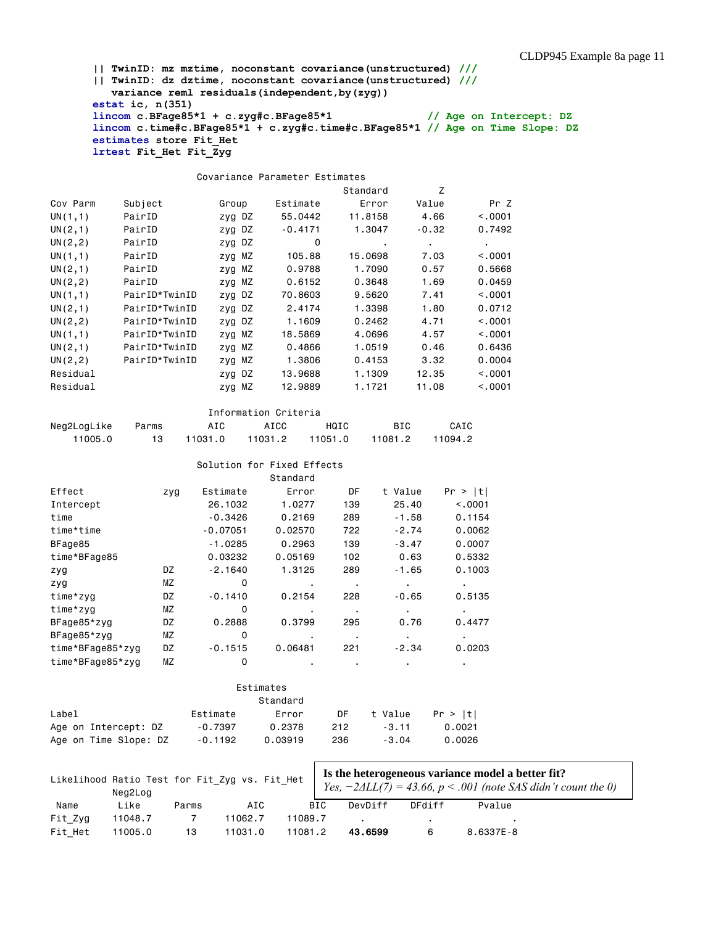```
|| TwinID: mz mztime, noconstant covariance(unstructured) ///
|| TwinID: dz dztime, noconstant covariance(unstructured) ///
   variance reml residuals(independent,by(zyg))
estat ic, n(351) 
lincom c.BFage85*1 + c.zyg#c.BFage85*1 // Age on Intercept: DZ
lincom c.time#c.BFage85*1 + c.zyg#c.time#c.BFage85*1 // Age on Time Slope: DZ
estimates store Fit_Het
lrtest Fit_Het Fit_Zyg
```
#### Covariance Parameter Estimates

|          |               |        |           | Standard | Z       |         |
|----------|---------------|--------|-----------|----------|---------|---------|
| Cov Parm | Subject       | Group  | Estimate  | Error    | Value   | Pr Z    |
| UN(1,1)  | PairID        | zyg DZ | 55,0442   | 11,8158  | 4.66    | < 0.001 |
| UN(2,1)  | PairID        | zyg DZ | $-0.4171$ | 1.3047   | $-0.32$ | 0.7492  |
| UN(2, 2) | PairID        | zyg DZ | 0         | ٠.       | ٠.      | ٠.      |
| UN(1,1)  | PairID        | zyg MZ | 105.88    | 15,0698  | 7.03    | < 0.001 |
| UN(2,1)  | PairID        | zyg MZ | 0.9788    | 1,7090   | 0.57    | 0.5668  |
| UN(2, 2) | PairID        | zyg MZ | 0.6152    | 0.3648   | 1.69    | 0.0459  |
| UN(1,1)  | PairID*TwinID | zyg DZ | 70,8603   | 9,5620   | 7.41    | < 0.001 |
| UN(2,1)  | PairID*TwinID | zyg DZ | 2.4174    | 1.3398   | 1.80    | 0.0712  |
| UN(2, 2) | PairID*TwinID | zyg DZ | 1,1609    | 0.2462   | 4.71    | < 0.001 |
| UN(1,1)  | PairID*TwinID | zyg MZ | 18,5869   | 4.0696   | 4.57    | < 0.001 |
| UN(2,1)  | PairID*TwinID | zyg MZ | 0.4866    | 1.0519   | 0.46    | 0.6436  |
| UN(2, 2) | PairID*TwinID | zyg MZ | 1,3806    | 0.4153   | 3.32    | 0.0004  |
| Residual |               | zyg DZ | 13.9688   | 1.1309   | 12.35   | < 0.001 |
| Residual |               | zyg MZ | 12,9889   | 1.1721   | 11.08   | < .0001 |

|             |       | Information Criteria |         |         |         |         |  |  |  |
|-------------|-------|----------------------|---------|---------|---------|---------|--|--|--|
| Neg2LogLike | Parms | AIC                  | ATCC.   | HQIC    | BIC     | CAIC    |  |  |  |
| 11005.0     |       | 11031.0              | 11031.2 | 11051.0 | 11081.2 | 11094.2 |  |  |  |

|                  |     |            | Solution for Fixed Effects |                |         |          |
|------------------|-----|------------|----------------------------|----------------|---------|----------|
|                  |     |            | Standard                   |                |         |          |
| Effect           | zyg | Estimate   | Error                      | DF             | t Value | Pr >  t  |
| Intercept        |     | 26,1032    | 1.0277                     | 139            | 25.40   | < 0.0001 |
| time             |     | $-0.3426$  | 0.2169                     | 289            | $-1.58$ | 0.1154   |
| time*time        |     | $-0.07051$ | 0.02570                    | 722            | $-2.74$ | 0.0062   |
| BFage85          |     | $-1.0285$  | 0.2963                     | 139            | $-3.47$ | 0.0007   |
| time*BFage85     |     | 0.03232    | 0.05169                    | 102            | 0.63    | 0.5332   |
| zyg              | DZ  | $-2.1640$  | 1.3125                     | 289            | $-1.65$ | 0.1003   |
| zyg              | ΜZ  | 0          | ٠                          | $\blacksquare$ |         |          |
| time*zyg         | DZ  | $-0.1410$  | 0.2154                     | 228            | $-0.65$ | 0.5135   |
| time*zyq         | ΜZ  | 0          |                            | $\blacksquare$ |         |          |
| BFage85*zyg      | DZ  | 0.2888     | 0.3799                     | 295            | 0.76    | 0.4477   |
| BFage85*zyg      | ΜZ  | 0          | ٠                          | $\blacksquare$ |         |          |
| time*BFage85*zyg | DZ  | $-0.1515$  | 0.06481                    | 221            | $-2.34$ | 0.0203   |
| time*BFage85*zyg | ΜZ  | 0          |                            | ٠              |         |          |

| Estimates             |           |         |     |         |         |  |  |  |  |
|-----------------------|-----------|---------|-----|---------|---------|--|--|--|--|
| Standard              |           |         |     |         |         |  |  |  |  |
| Label                 | Estimate  | Error   | DF  | t Value | Pr >  t |  |  |  |  |
| Age on Intercept: DZ  | $-0.7397$ | 0.2378  | 212 | $-3.11$ | 0.0021  |  |  |  |  |
| Age on Time Slope: DZ | $-0.1192$ | 0.03919 | 236 | $-3.04$ | 0.0026  |  |  |  |  |

|         | Neg2Log |       | Likelihood Ratio Test for Fit Zyg vs. Fit Het |         |         |        | Is the heterogeneous variance model a better fit? | Yes, $-2\Delta LL(7) = 43.66$ , $p < .001$ (note SAS didn't count the 0) |
|---------|---------|-------|-----------------------------------------------|---------|---------|--------|---------------------------------------------------|--------------------------------------------------------------------------|
| Name    | Like    | Parms | AIC                                           | BIC.    | DevDiff | DFdiff | Pvalue                                            |                                                                          |
| Fit Zyg | 11048.7 |       | 11062.7                                       | 11089.7 |         |        |                                                   |                                                                          |
| Fit Het | 11005.0 | 13    | 11031.0                                       | 11081.2 | 43.6599 |        | 8.6337E-8                                         |                                                                          |